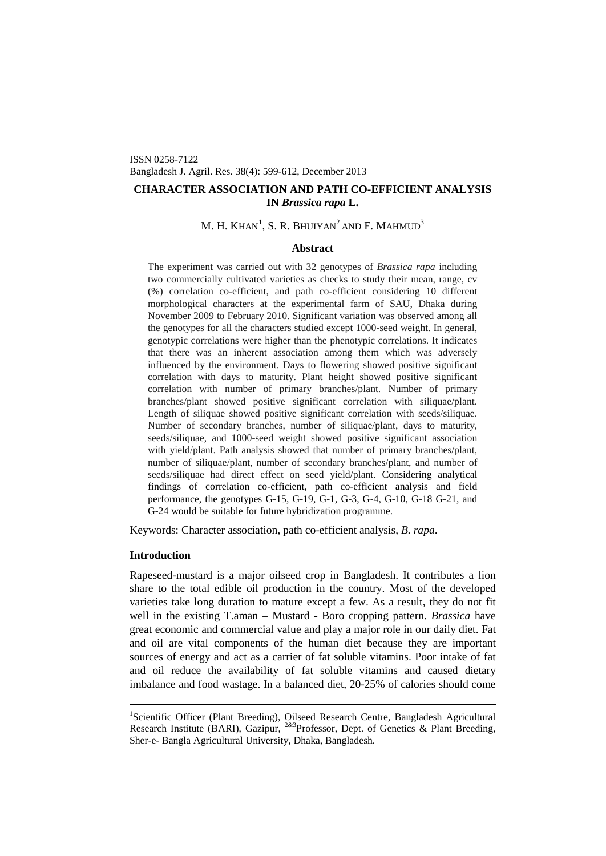ISSN 0258-7122 Bangladesh J. Agril. Res. 38(4): 599-612, December 2013

# **CHARACTER ASSOCIATION AND PATH CO-EFFICIENT ANALYSIS IN** *Brassica rapa* **L.**

# M. H. KHAN $^1$  $^1$ , S. R. Bhuiyan $^2$ and F. Mahmud $^3$

### **Abstract**

The experiment was carried out with 32 genotypes of *Brassica rapa* including two commercially cultivated varieties as checks to study their mean, range, cv (%) correlation co-efficient, and path co-efficient considering 10 different morphological characters at the experimental farm of SAU, Dhaka during November 2009 to February 2010. Significant variation was observed among all the genotypes for all the characters studied except 1000-seed weight. In general, genotypic correlations were higher than the phenotypic correlations. It indicates that there was an inherent association among them which was adversely influenced by the environment. Days to flowering showed positive significant correlation with days to maturity. Plant height showed positive significant correlation with number of primary branches/plant. Number of primary branches/plant showed positive significant correlation with siliquae/plant. Length of siliquae showed positive significant correlation with seeds/siliquae. Number of secondary branches, number of siliquae/plant, days to maturity, seeds/siliquae, and 1000-seed weight showed positive significant association with yield/plant. Path analysis showed that number of primary branches/plant, number of siliquae/plant, number of secondary branches/plant, and number of seeds/siliquae had direct effect on seed yield/plant. Considering analytical findings of correlation co-efficient, path co-efficient analysis and field performance, the genotypes G-15, G-19, G-1, G-3, G-4, G-10, G-18 G-21, and G-24 would be suitable for future hybridization programme.

Keywords: Character association, path co-efficient analysis, *B. rapa*.

## **Introduction**

Rapeseed-mustard is a major oilseed crop in Bangladesh. It contributes a lion share to the total edible oil production in the country. Most of the developed varieties take long duration to mature except a few. As a result, they do not fit well in the existing T.aman – Mustard - Boro cropping pattern. *Brassica* have great economic and commercial value and play a major role in our daily diet. Fat and oil are vital components of the human diet because they are important sources of energy and act as a carrier of fat soluble vitamins. Poor intake of fat and oil reduce the availability of fat soluble vitamins and caused dietary imbalance and food wastage. In a balanced diet, 20-25% of calories should come

<span id="page-0-0"></span><sup>&</sup>lt;sup>1</sup>Scientific Officer (Plant Breeding), Oilseed Research Centre, Bangladesh Agricultural Research Institute (BARI), Gazipur,  $283$ Professor, Dept. of Genetics & Plant Breeding, Sher-e- Bangla Agricultural University, Dhaka, Bangladesh.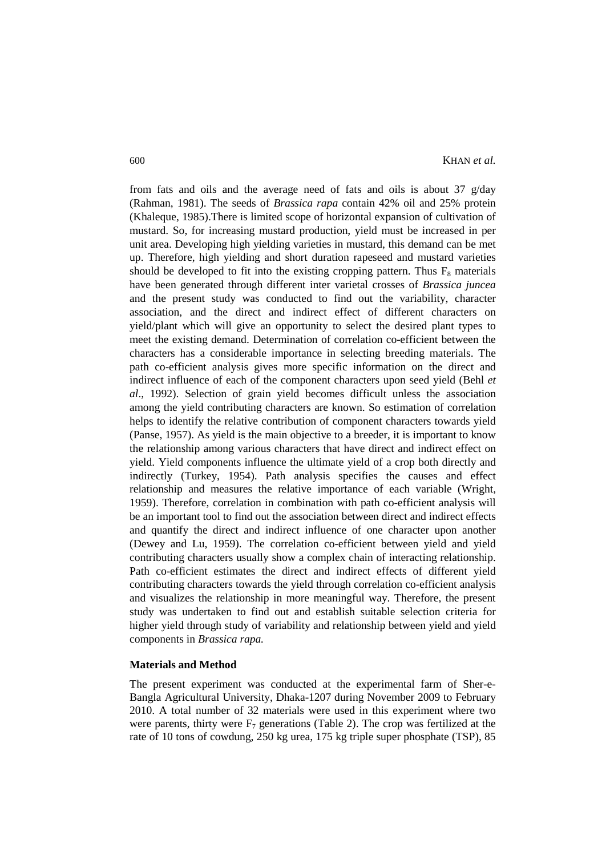from fats and oils and the average need of fats and oils is about 37  $g/day$ (Rahman, 1981). The seeds of *Brassica rapa* contain 42% oil and 25% protein (Khaleque, 1985).There is limited scope of horizontal expansion of cultivation of mustard. So, for increasing mustard production, yield must be increased in per unit area. Developing high yielding varieties in mustard, this demand can be met up. Therefore, high yielding and short duration rapeseed and mustard varieties should be developed to fit into the existing cropping pattern. Thus  $F_8$  materials have been generated through different inter varietal crosses of *Brassica juncea* and the present study was conducted to find out the variability, character association, and the direct and indirect effect of different characters on yield/plant which will give an opportunity to select the desired plant types to meet the existing demand. Determination of correlation co-efficient between the characters has a considerable importance in selecting breeding materials. The path co-efficient analysis gives more specific information on the direct and indirect influence of each of the component characters upon seed yield (Behl *et al*., 1992). Selection of grain yield becomes difficult unless the association among the yield contributing characters are known. So estimation of correlation helps to identify the relative contribution of component characters towards yield (Panse, 1957). As yield is the main objective to a breeder, it is important to know the relationship among various characters that have direct and indirect effect on yield. Yield components influence the ultimate yield of a crop both directly and indirectly (Turkey, 1954). Path analysis specifies the causes and effect relationship and measures the relative importance of each variable (Wright, 1959). Therefore, correlation in combination with path co-efficient analysis will be an important tool to find out the association between direct and indirect effects and quantify the direct and indirect influence of one character upon another (Dewey and Lu, 1959). The correlation co-efficient between yield and yield contributing characters usually show a complex chain of interacting relationship. Path co-efficient estimates the direct and indirect effects of different yield contributing characters towards the yield through correlation co-efficient analysis and visualizes the relationship in more meaningful way. Therefore, the present study was undertaken to find out and establish suitable selection criteria for higher yield through study of variability and relationship between yield and yield components in *Brassica rapa.*

### **Materials and Method**

The present experiment was conducted at the experimental farm of Sher-e-Bangla Agricultural University, Dhaka-1207 during November 2009 to February 2010. A total number of 32 materials were used in this experiment where two were parents, thirty were  $F_7$  generations (Table 2). The crop was fertilized at the rate of 10 tons of cowdung, 250 kg urea, 175 kg triple super phosphate (TSP), 85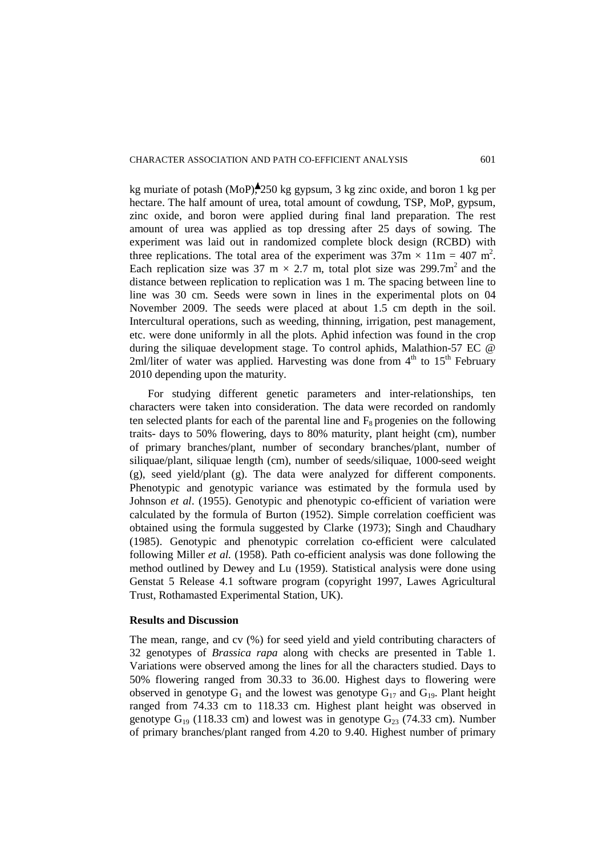kg muriate of potash (MoP),  $250 \text{ kg}$  gypsum, 3 kg zinc oxide, and boron 1 kg per hectare. The half amount of urea, total amount of cowdung, TSP, MoP, gypsum, zinc oxide, and boron were applied during final land preparation. The rest amount of urea was applied as top dressing after 25 days of sowing. The experiment was laid out in randomized complete block design (RCBD) with three replications. The total area of the experiment was  $37 \text{m} \times 11 \text{m} = 407 \text{ m}^2$ . Each replication size was 37 m  $\times$  2.7 m, total plot size was 299.7m<sup>2</sup> and the distance between replication to replication was 1 m. The spacing between line to line was 30 cm. Seeds were sown in lines in the experimental plots on 04 November 2009. The seeds were placed at about 1.5 cm depth in the soil. Intercultural operations, such as weeding, thinning, irrigation, pest management, etc. were done uniformly in all the plots. Aphid infection was found in the crop during the siliquae development stage. To control aphids, Malathion-57 EC @ 2ml/liter of water was applied. Harvesting was done from  $4<sup>th</sup>$  to  $15<sup>th</sup>$  February 2010 depending upon the maturity.

For studying different genetic parameters and inter-relationships, ten characters were taken into consideration. The data were recorded on randomly ten selected plants for each of the parental line and  $F_8$  progenies on the following traits- days to 50% flowering, days to 80% maturity, plant height (cm), number of primary branches/plant, number of secondary branches/plant, number of siliquae/plant, siliquae length (cm), number of seeds/siliquae, 1000-seed weight (g), seed yield/plant (g). The data were analyzed for different components. Phenotypic and genotypic variance was estimated by the formula used by Johnson *et al*. (1955). Genotypic and phenotypic co-efficient of variation were calculated by the formula of Burton (1952). Simple correlation coefficient was obtained using the formula suggested by Clarke (1973); Singh and Chaudhary (1985). Genotypic and phenotypic correlation co-efficient were calculated following Miller *et al.* (1958). Path co-efficient analysis was done following the method outlined by Dewey and Lu (1959). Statistical analysis were done using Genstat 5 Release 4.1 software program (copyright 1997, Lawes Agricultural Trust, Rothamasted Experimental Station, UK).

### **Results and Discussion**

The mean, range, and cv (%) for seed yield and yield contributing characters of 32 genotypes of *Brassica rapa* along with checks are presented in Table 1. Variations were observed among the lines for all the characters studied. Days to 50% flowering ranged from 30.33 to 36.00. Highest days to flowering were observed in genotype  $G_1$  and the lowest was genotype  $G_{17}$  and  $G_{19}$ . Plant height ranged from 74.33 cm to 118.33 cm. Highest plant height was observed in genotype  $G_{19}$  (118.33 cm) and lowest was in genotype  $G_{23}$  (74.33 cm). Number of primary branches/plant ranged from 4.20 to 9.40. Highest number of primary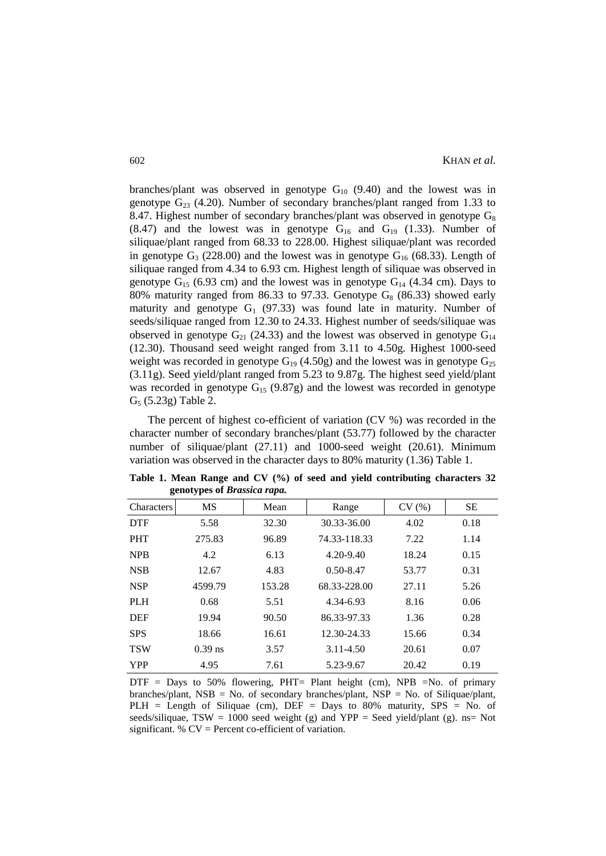branches/plant was observed in genotype  $G_{10}$  (9.40) and the lowest was in genotype  $G_{23}$  (4.20). Number of secondary branches/plant ranged from 1.33 to 8.47. Highest number of secondary branches/plant was observed in genotype  $G_8$  $(8.47)$  and the lowest was in genotype  $G_{16}$  and  $G_{19}$   $(1.33)$ . Number of siliquae/plant ranged from 68.33 to 228.00. Highest siliquae/plant was recorded in genotype  $G_3$  (228.00) and the lowest was in genotype  $G_{16}$  (68.33). Length of siliquae ranged from 4.34 to 6.93 cm. Highest length of siliquae was observed in genotype  $G_{15}$  (6.93 cm) and the lowest was in genotype  $G_{14}$  (4.34 cm). Days to 80% maturity ranged from 86.33 to 97.33. Genotype  $G_8$  (86.33) showed early maturity and genotype  $G_1$  (97.33) was found late in maturity. Number of seeds/siliquae ranged from 12.30 to 24.33. Highest number of seeds/siliquae was observed in genotype  $G_{21}$  (24.33) and the lowest was observed in genotype  $G_{14}$ (12.30). Thousand seed weight ranged from 3.11 to 4.50g. Highest 1000-seed weight was recorded in genotype  $G_{19}$  (4.50g) and the lowest was in genotype  $G_{25}$ (3.11g). Seed yield/plant ranged from 5.23 to 9.87g. The highest seed yield/plant was recorded in genotype  $G_{15}$  (9.87g) and the lowest was recorded in genotype  $G_5$  (5.23g) Table 2.

The percent of highest co-efficient of variation (CV %) was recorded in the character number of secondary branches/plant (53.77) followed by the character number of siliquae/plant (27.11) and 1000-seed weight (20.61). Minimum variation was observed in the character days to 80% maturity (1.36) Table 1.

| o          | . .       |        |               |       |           |
|------------|-----------|--------|---------------|-------|-----------|
| Characters | <b>MS</b> | Mean   | Range         | CV(%) | <b>SE</b> |
| <b>DTF</b> | 5.58      | 32.30  | 30.33-36.00   | 4.02  | 0.18      |
| <b>PHT</b> | 275.83    | 96.89  | 74.33-118.33  | 7.22  | 1.14      |
| <b>NPB</b> | 4.2       | 6.13   | $4.20 - 9.40$ | 18.24 | 0.15      |
| <b>NSB</b> | 12.67     | 4.83   | $0.50 - 8.47$ | 53.77 | 0.31      |
| <b>NSP</b> | 4599.79   | 153.28 | 68.33-228.00  | 27.11 | 5.26      |
| <b>PLH</b> | 0.68      | 5.51   | 4.34-6.93     | 8.16  | 0.06      |
| <b>DEF</b> | 19.94     | 90.50  | 86.33-97.33   | 1.36  | 0.28      |
| <b>SPS</b> | 18.66     | 16.61  | 12.30-24.33   | 15.66 | 0.34      |
| <b>TSW</b> | $0.39$ ns | 3.57   | 3.11-4.50     | 20.61 | 0.07      |
| <b>YPP</b> | 4.95      | 7.61   | 5.23-9.67     | 20.42 | 0.19      |

**Table 1. Mean Range and CV (%) of seed and yield contributing characters 32 genotypes of** *Brassica rapa.*

DTF = Days to 50% flowering, PHT= Plant height (cm), NPB =No. of primary branches/plant, NSB = No. of secondary branches/plant, NSP = No. of Siliquae/plant, PLH = Length of Siliquae (cm), DEF = Days to 80% maturity, SPS = No. of seeds/siliquae, TSW = 1000 seed weight (g) and YPP = Seed yield/plant (g). ns= Not significant.  $\%$  CV = Percent co-efficient of variation.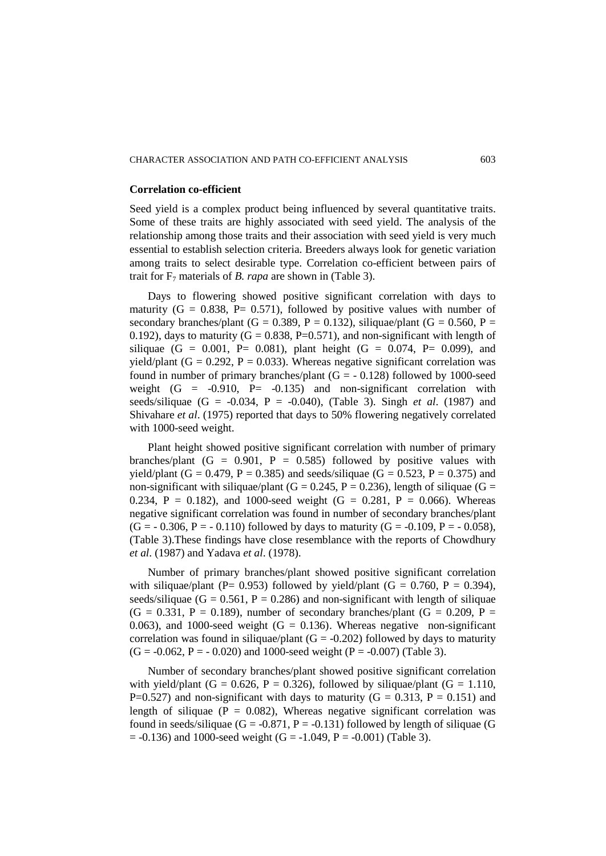### **Correlation co-efficient**

Seed yield is a complex product being influenced by several quantitative traits. Some of these traits are highly associated with seed yield. The analysis of the relationship among those traits and their association with seed yield is very much essential to establish selection criteria. Breeders always look for genetic variation among traits to select desirable type. Correlation co-efficient between pairs of trait for F7 materials of *B. rapa* are shown in (Table 3).

Days to flowering showed positive significant correlation with days to maturity  $(G = 0.838, P = 0.571)$ , followed by positive values with number of secondary branches/plant (G = 0.389, P = 0.132), siliquae/plant (G = 0.560, P = 0.192), days to maturity ( $G = 0.838$ , P=0.571), and non-significant with length of siliquae (G = 0.001, P= 0.081), plant height (G = 0.074, P= 0.099), and yield/plant (G = 0.292, P = 0.033). Whereas negative significant correlation was found in number of primary branches/plant  $(G = -0.128)$  followed by 1000-seed weight  $(G = -0.910, P = -0.135)$  and non-significant correlation with seeds/siliquae  $(G = -0.034, P = -0.040)$ , (Table 3). Singh *et al.* (1987) and Shivahare *et al*. (1975) reported that days to 50% flowering negatively correlated with 1000-seed weight.

Plant height showed positive significant correlation with number of primary branches/plant  $(G = 0.901, P = 0.585)$  followed by positive values with yield/plant (G = 0.479, P = 0.385) and seeds/siliquae (G = 0.523, P = 0.375) and non-significant with siliquae/plant (G = 0.245, P = 0.236), length of siliquae (G = 0.234, P = 0.182), and 1000-seed weight (G = 0.281, P = 0.066). Whereas negative significant correlation was found in number of secondary branches/plant  $(G = -0.306, P = -0.110)$  followed by days to maturity  $(G = -0.109, P = -0.058)$ , (Table 3).These findings have close resemblance with the reports of Chowdhury *et al*. (1987) and Yadava *et al*. (1978).

Number of primary branches/plant showed positive significant correlation with siliquae/plant (P= 0.953) followed by yield/plant (G = 0.760, P = 0.394), seeds/siliquae ( $G = 0.561$ ,  $P = 0.286$ ) and non-significant with length of siliquae  $(G = 0.331, P = 0.189)$ , number of secondary branches/plant  $(G = 0.209, P = 0.189)$ 0.063), and 1000-seed weight  $(G = 0.136)$ . Whereas negative non-significant correlation was found in siliquae/plant  $(G = -0.202)$  followed by days to maturity  $(G = -0.062, P = -0.020)$  and 1000-seed weight  $(P = -0.007)$  (Table 3).

Number of secondary branches/plant showed positive significant correlation with yield/plant (G = 0.626, P = 0.326), followed by siliquae/plant (G = 1.110, P=0.527) and non-significant with days to maturity ( $G = 0.313$ ,  $P = 0.151$ ) and length of siliquae ( $P = 0.082$ ), Whereas negative significant correlation was found in seeds/siliquae (G = -0.871, P = -0.131) followed by length of siliquae (G  $= -0.136$ ) and 1000-seed weight (G = -1.049, P = -0.001) (Table 3).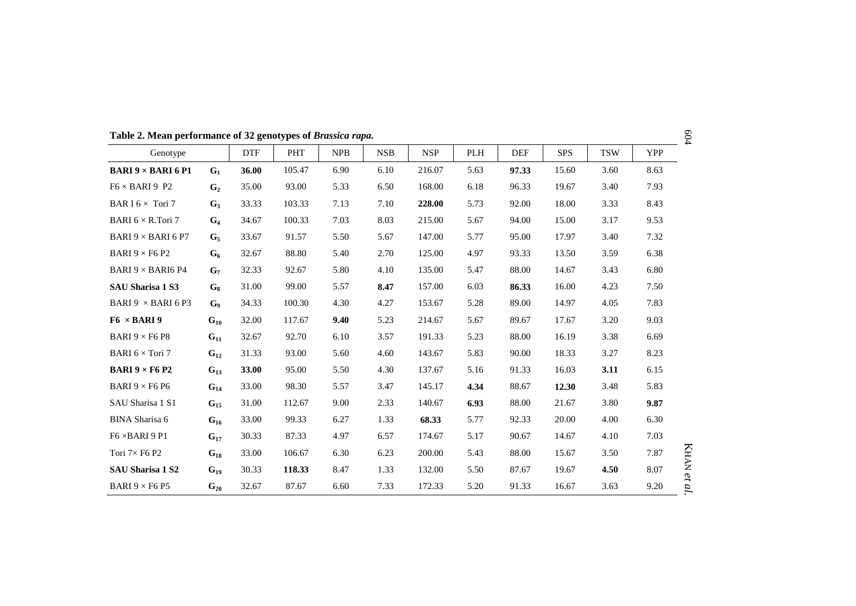| Genotype                                             |                | <b>DTF</b> | <b>PHT</b> | <b>NPB</b> | <b>NSB</b> | <b>NSP</b> | PLH  | <b>DEF</b> | <b>SPS</b> | <b>TSW</b> | <b>YPP</b> |
|------------------------------------------------------|----------------|------------|------------|------------|------------|------------|------|------------|------------|------------|------------|
| <b>BARI <math>9 \times</math> BARI 6 P1</b>          | $G_1$          | 36.00      | 105.47     | 6.90       | 6.10       | 216.07     | 5.63 | 97.33      | 15.60      | 3.60       | 8.63       |
| $F6 \times BARI 9 P2$                                | G <sub>2</sub> | 35.00      | 93.00      | 5.33       | 6.50       | 168.00     | 6.18 | 96.33      | 19.67      | 3.40       | 7.93       |
| BAR I $6 \times$ Tori 7                              | $G_3$          | 33.33      | 103.33     | 7.13       | 7.10       | 228.00     | 5.73 | 92.00      | 18.00      | 3.33       | 8.43       |
| BARI $6 \times R$ . Tori 7                           | $G_4$          | 34.67      | 100.33     | 7.03       | 8.03       | 215.00     | 5.67 | 94.00      | 15.00      | 3.17       | 9.53       |
| BARI 9 $\times$ BARI 6 P7                            | G <sub>5</sub> | 33.67      | 91.57      | 5.50       | 5.67       | 147.00     | 5.77 | 95.00      | 17.97      | 3.40       | 7.32       |
| BARI 9 $\times$ F6 P2                                | $G_6$          | 32.67      | 88.80      | 5.40       | 2.70       | 125.00     | 4.97 | 93.33      | 13.50      | 3.59       | 6.38       |
| BARI 9 $\times$ BARI6 P4                             | G <sub>7</sub> | 32.33      | 92.67      | 5.80       | 4.10       | 135.00     | 5.47 | 88.00      | 14.67      | 3.43       | 6.80       |
| <b>SAU Sharisa 1 S3</b>                              | $G_8$          | 31.00      | 99.00      | 5.57       | 8.47       | 157.00     | 6.03 | 86.33      | 16.00      | 4.23       | 7.50       |
| BARI 9 $\times$ BARI 6 P3                            | G <sub>9</sub> | 34.33      | 100.30     | 4.30       | 4.27       | 153.67     | 5.28 | 89.00      | 14.97      | 4.05       | 7.83       |
| $F6 \times BARI9$                                    | $G_{10}$       | 32.00      | 117.67     | 9.40       | 5.23       | 214.67     | 5.67 | 89.67      | 17.67      | 3.20       | 9.03       |
| BARI $9 \times F6$ P8                                | $G_{11}$       | 32.67      | 92.70      | 6.10       | 3.57       | 191.33     | 5.23 | 88.00      | 16.19      | 3.38       | 6.69       |
| BARI $6 \times$ Tori 7                               | $G_{12}$       | 31.33      | 93.00      | 5.60       | 4.60       | 143.67     | 5.83 | 90.00      | 18.33      | 3.27       | 8.23       |
| <b>BARI</b> $9 \times$ F <sub>6</sub> P <sub>2</sub> | $G_{13}$       | 33.00      | 95.00      | 5.50       | 4.30       | 137.67     | 5.16 | 91.33      | 16.03      | 3.11       | 6.15       |
| BARI 9 $\times$ F6 P6                                | $G_{14}$       | 33.00      | 98.30      | 5.57       | 3.47       | 145.17     | 4.34 | 88.67      | 12.30      | 3.48       | 5.83       |
| SAU Sharisa 1 S1                                     | $G_{15}$       | 31.00      | 112.67     | 9.00       | 2.33       | 140.67     | 6.93 | 88.00      | 21.67      | 3.80       | 9.87       |
| <b>BINA</b> Sharisa 6                                | $G_{16}$       | 33.00      | 99.33      | 6.27       | 1.33       | 68.33      | 5.77 | 92.33      | 20.00      | 4.00       | 6.30       |
| $F6 \times BARI 9 P1$                                | $G_{17}$       | 30.33      | 87.33      | 4.97       | 6.57       | 174.67     | 5.17 | 90.67      | 14.67      | 4.10       | 7.03       |
| Tori $7\times$ F6 P2                                 | $G_{18}$       | 33.00      | 106.67     | 6.30       | 6.23       | 200.00     | 5.43 | 88.00      | 15.67      | 3.50       | 7.87       |
| SAU Sharisa 1 S2                                     | $G_{19}$       | 30.33      | 118.33     | 8.47       | 1.33       | 132.00     | 5.50 | 87.67      | 19.67      | 4.50       | 8.07       |
| BARI $9 \times F6$ P5                                | $G_{20}$       | 32.67      | 87.67      | 6.60       | 7.33       | 172.33     | 5.20 | 91.33      | 16.67      | 3.63       | 9.20       |

**Table 2. Mean performance of 32 genotypes of** *Brassica rapa.*

604

KHAN

*et al.*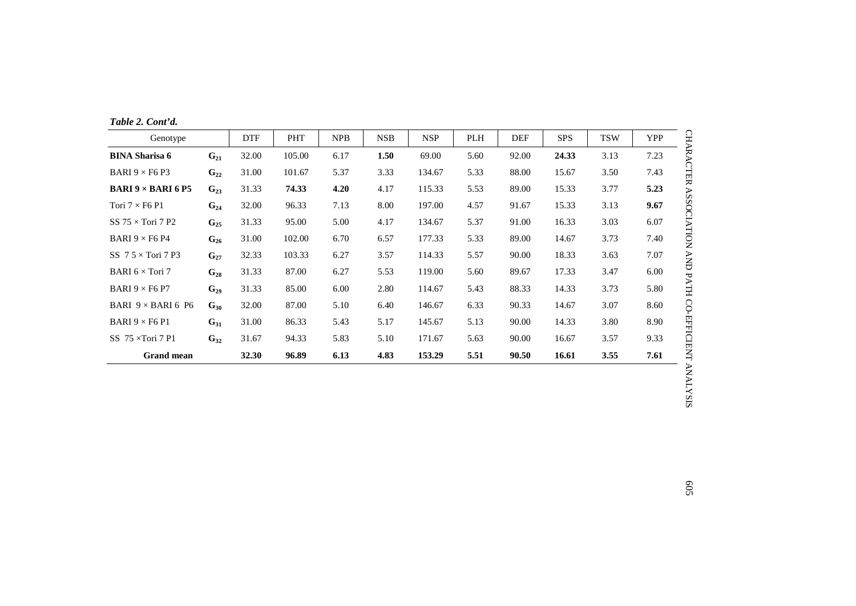| Table 2. Cont'd. |  |  |  |  |
|------------------|--|--|--|--|
|------------------|--|--|--|--|

| Genotype                                    |          | <b>DTF</b> | PHT    | NPB  | <b>NSB</b> | <b>NSP</b> | <b>PLH</b> | <b>DEF</b> | <b>SPS</b> | <b>TSW</b> | <b>YPP</b> |
|---------------------------------------------|----------|------------|--------|------|------------|------------|------------|------------|------------|------------|------------|
| <b>BINA Sharisa 6</b>                       | $G_{21}$ | 32.00      | 105.00 | 6.17 | 1.50       | 69.00      | 5.60       | 92.00      | 24.33      | 3.13       | 7.23       |
| BARI 9 $\times$ F6 P3                       | $G_{22}$ | 31.00      | 101.67 | 5.37 | 3.33       | 134.67     | 5.33       | 88.00      | 15.67      | 3.50       | 7.43       |
| <b>BARI 9 <math>\times</math> BARI 6 P5</b> | $G_{23}$ | 31.33      | 74.33  | 4.20 | 4.17       | 115.33     | 5.53       | 89.00      | 15.33      | 3.77       | 5.23       |
| Tori $7 \times F6$ P1                       | $G_{24}$ | 32.00      | 96.33  | 7.13 | 8.00       | 197.00     | 4.57       | 91.67      | 15.33      | 3.13       | 9.67       |
| SS $75 \times$ Tori 7 P2                    | $G_{25}$ | 31.33      | 95.00  | 5.00 | 4.17       | 134.67     | 5.37       | 91.00      | 16.33      | 3.03       | 6.07       |
| BARI 9 $\times$ F6 P4                       | $G_{26}$ | 31.00      | 102.00 | 6.70 | 6.57       | 177.33     | 5.33       | 89.00      | 14.67      | 3.73       | 7.40       |
| SS $7.5 \times$ Tori 7 P3                   | $G_{27}$ | 32.33      | 103.33 | 6.27 | 3.57       | 114.33     | 5.57       | 90.00      | 18.33      | 3.63       | 7.07       |
| BARI $6 \times$ Tori 7                      | $G_{28}$ | 31.33      | 87.00  | 6.27 | 5.53       | 119.00     | 5.60       | 89.67      | 17.33      | 3.47       | 6.00       |
| BARI $9 \times F6$ P7                       | $G_{29}$ | 31.33      | 85.00  | 6.00 | 2.80       | 114.67     | 5.43       | 88.33      | 14.33      | 3.73       | 5.80       |
| BARI $9 \times$ BARI 6 P6                   | $G_{30}$ | 32.00      | 87.00  | 5.10 | 6.40       | 146.67     | 6.33       | 90.33      | 14.67      | 3.07       | 8.60       |
| BARI $9 \times$ F6 P1                       | $G_{31}$ | 31.00      | 86.33  | 5.43 | 5.17       | 145.67     | 5.13       | 90.00      | 14.33      | 3.80       | 8.90       |
| SS $75 \times$ Tori 7 P1                    | $G_{32}$ | 31.67      | 94.33  | 5.83 | 5.10       | 171.67     | 5.63       | 90.00      | 16.67      | 3.57       | 9.33       |
| <b>Grand mean</b>                           |          | 32.30      | 96.89  | 6.13 | 4.83       | 153.29     | 5.51       | 90.50      | 16.61      | 3.55       | 7.61       |

CHARACTER ASSOCIATION AND PATH CO-EFFICIENT T ANALYSIS ANALYSIS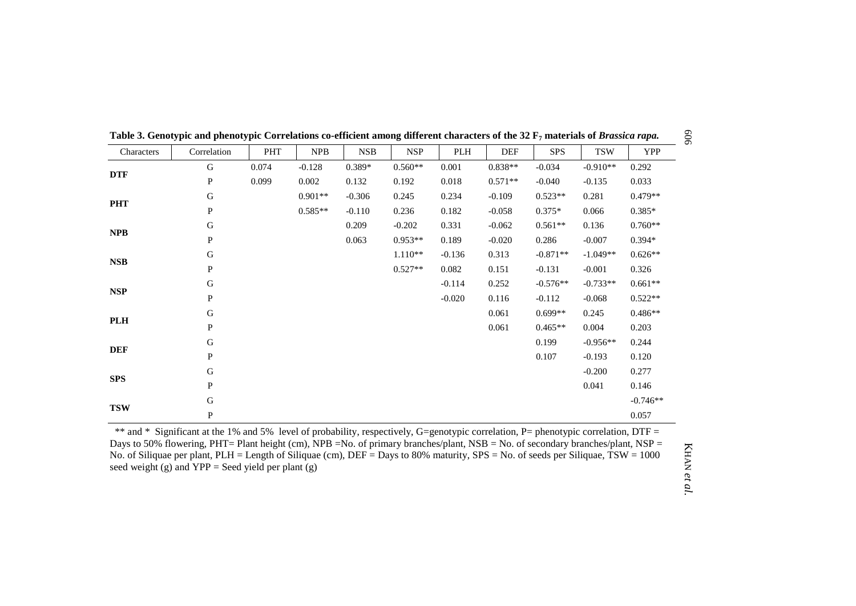|            | Senory pre and phenory pre-correlations co-emercine among |            |            |            |            | $\frac{1}{2}$ |            |            | $\sim$ $\mu$ materials of <i>B</i> where $\mu$ |            |
|------------|-----------------------------------------------------------|------------|------------|------------|------------|---------------|------------|------------|------------------------------------------------|------------|
| Characters | Correlation                                               | <b>PHT</b> | <b>NPB</b> | <b>NSB</b> | <b>NSP</b> | PLH           | <b>DEF</b> | <b>SPS</b> | <b>TSW</b>                                     | <b>YPP</b> |
|            | $\mathbf G$                                               | 0.074      | $-0.128$   | 0.389*     | $0.560**$  | 0.001         | $0.838**$  | $-0.034$   | $-0.910**$                                     | 0.292      |
| <b>DTF</b> | $\, {\bf P}$                                              | 0.099      | 0.002      | 0.132      | 0.192      | 0.018         | $0.571**$  | $-0.040$   | $-0.135$                                       | 0.033      |
|            | ${\bf G}$                                                 |            | $0.901**$  | $-0.306$   | 0.245      | 0.234         | $-0.109$   | $0.523**$  | 0.281                                          | $0.479**$  |
| <b>PHT</b> | $\mathbf{P}$                                              |            | $0.585**$  | $-0.110$   | 0.236      | 0.182         | $-0.058$   | $0.375*$   | 0.066                                          | $0.385*$   |
|            | ${\bf G}$                                                 |            |            | 0.209      | $-0.202$   | 0.331         | $-0.062$   | $0.561**$  | 0.136                                          | $0.760**$  |
| <b>NPB</b> | ${\bf P}$                                                 |            |            | 0.063      | $0.953**$  | 0.189         | $-0.020$   | 0.286      | $-0.007$                                       | $0.394*$   |
|            | ${\bf G}$                                                 |            |            |            | $1.110**$  | $-0.136$      | 0.313      | $-0.871**$ | $-1.049**$                                     | $0.626**$  |
| <b>NSB</b> | P                                                         |            |            |            | $0.527**$  | 0.082         | 0.151      | $-0.131$   | $-0.001$                                       | 0.326      |
|            | ${\bf G}$                                                 |            |            |            |            | $-0.114$      | 0.252      | $-0.576**$ | $-0.733**$                                     | $0.661**$  |
| <b>NSP</b> | ${\bf P}$                                                 |            |            |            |            | $-0.020$      | 0.116      | $-0.112$   | $-0.068$                                       | $0.522**$  |
|            | ${\bf G}$                                                 |            |            |            |            |               | 0.061      | $0.699**$  | 0.245                                          | $0.486**$  |
| PLH        | $\mathbf{P}$                                              |            |            |            |            |               | 0.061      | $0.465**$  | 0.004                                          | 0.203      |
|            | ${\bf G}$                                                 |            |            |            |            |               |            | 0.199      | $-0.956**$                                     | 0.244      |
| <b>DEF</b> | $\mathbf{P}$                                              |            |            |            |            |               |            | 0.107      | $-0.193$                                       | 0.120      |
|            | ${\bf G}$                                                 |            |            |            |            |               |            |            | $-0.200$                                       | 0.277      |
| <b>SPS</b> | $\mathbf{P}$                                              |            |            |            |            |               |            |            | 0.041                                          | 0.146      |
|            | ${\bf G}$                                                 |            |            |            |            |               |            |            |                                                | $-0.746**$ |
| <b>TSW</b> | ${\bf P}$                                                 |            |            |            |            |               |            |            |                                                | 0.057      |

**Table 3. Genotypic and phenotypic Correlations co-efficient among different characters of the 32 F7 materials of** *Brassica rapa.*

\*\* and \* Significant at the 1% and 5% level of probability, respectively, G=genotypic correlation, P= phenotypic correlation, DTF = Days to 50% flowering, PHT= Plant height (cm), NPB =No. of primary branches/plant, NSB = No. of secondary branches/plant, NSP = No. of Siliquae per plant, PLH = Length of Siliquae (cm), DEF = Days to 80% maturity, SPS = No. of seeds per Siliquae, TSW = 1000 seed weight (g) and  $YPP =$  Seed yield per plant (g)

KHAN *et al.*

606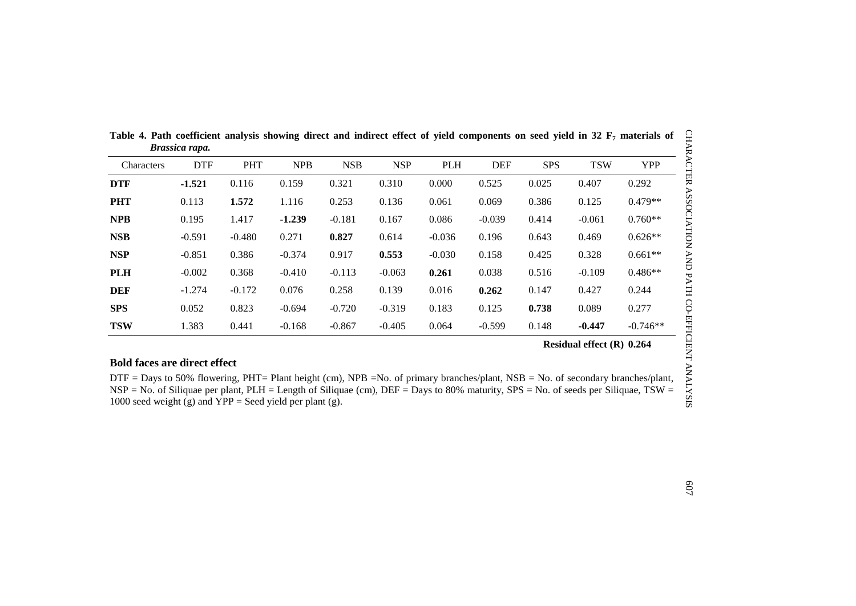|            | ртазыла гара. |            |            |            |            |            |            |            |            |            |
|------------|---------------|------------|------------|------------|------------|------------|------------|------------|------------|------------|
| Characters | <b>DTF</b>    | <b>PHT</b> | <b>NPB</b> | <b>NSB</b> | <b>NSP</b> | <b>PLH</b> | <b>DEF</b> | <b>SPS</b> | <b>TSW</b> | <b>YPP</b> |
| <b>DTF</b> | $-1.521$      | 0.116      | 0.159      | 0.321      | 0.310      | 0.000      | 0.525      | 0.025      | 0.407      | 0.292      |
| <b>PHT</b> | 0.113         | 1.572      | 1.116      | 0.253      | 0.136      | 0.061      | 0.069      | 0.386      | 0.125      | $0.479**$  |
| <b>NPB</b> | 0.195         | 1.417      | $-1.239$   | $-0.181$   | 0.167      | 0.086      | $-0.039$   | 0.414      | $-0.061$   | $0.760**$  |
| <b>NSB</b> | $-0.591$      | $-0.480$   | 0.271      | 0.827      | 0.614      | $-0.036$   | 0.196      | 0.643      | 0.469      | $0.626**$  |
| <b>NSP</b> | $-0.851$      | 0.386      | $-0.374$   | 0.917      | 0.553      | $-0.030$   | 0.158      | 0.425      | 0.328      | $0.661**$  |
| <b>PLH</b> | $-0.002$      | 0.368      | $-0.410$   | $-0.113$   | $-0.063$   | 0.261      | 0.038      | 0.516      | $-0.109$   | $0.486**$  |
| <b>DEF</b> | $-1.274$      | $-0.172$   | 0.076      | 0.258      | 0.139      | 0.016      | 0.262      | 0.147      | 0.427      | 0.244      |
| <b>SPS</b> | 0.052         | 0.823      | $-0.694$   | $-0.720$   | $-0.319$   | 0.183      | 0.125      | 0.738      | 0.089      | 0.277      |
| <b>TSW</b> | 1.383         | 0.441      | $-0.168$   | $-0.867$   | $-0.405$   | 0.064      | $-0.599$   | 0.148      | $-0.447$   | $-0.746**$ |

Table 4. Path coefficient analysis showing direct and indirect effect of yield components on seed yield in 32 F<sub>7</sub> materials of *Brassica rapa.*

## **Bold faces are direct effect**

DTF = Days to 50% flowering, PHT= Plant height (cm), NPB =No. of primary branches/plant, NSB = No. of secondary branches/plant, NSP = No. of Siliquae per plant, PLH = Length of Siliquae (cm), DEF = Days to 80% maturity, SPS = No. of seeds per Siliquae, TSW = 1000 seed weight (g) and  $\overline{YPP}$  = Seed yield per plant (g).

CHARACTER ASSOCIATION AND PATH CO-EFFICIENT ANALYSIS CHARACTER ASSOCIATION AND PATH CO-EFFICIENT ANALYSIS

**Residual effect (R) 0.264**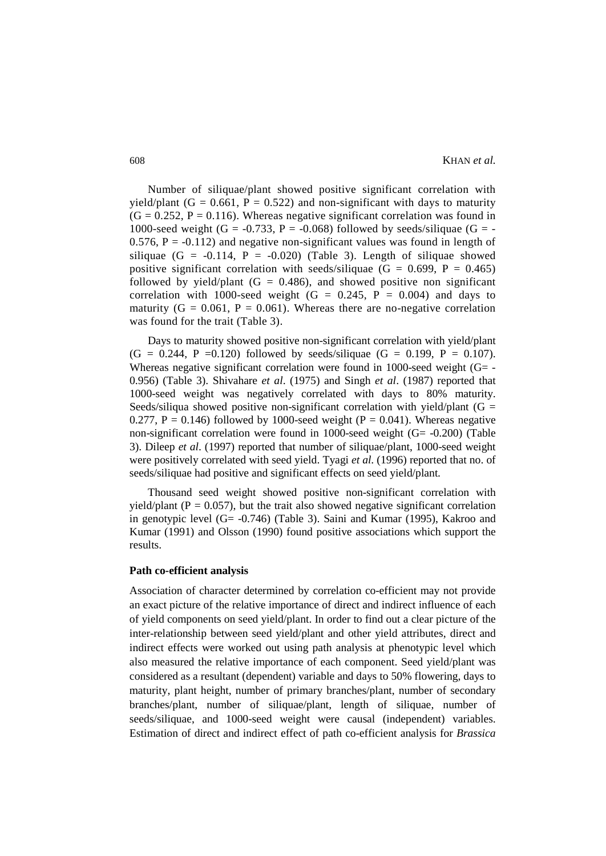Number of siliquae/plant showed positive significant correlation with yield/plant (G = 0.661, P = 0.522) and non-significant with days to maturity  $(G = 0.252, P = 0.116)$ . Whereas negative significant correlation was found in 1000-seed weight (G = -0.733, P = -0.068) followed by seeds/siliquae (G = -0.576,  $P = -0.112$ ) and negative non-significant values was found in length of siliquae  $(G = -0.114, P = -0.020)$  (Table 3). Length of siliquae showed positive significant correlation with seeds/siliquae  $(G = 0.699, P = 0.465)$ followed by yield/plant  $(G = 0.486)$ , and showed positive non significant correlation with 1000-seed weight  $(G = 0.245, P = 0.004)$  and days to maturity ( $G = 0.061$ ,  $P = 0.061$ ). Whereas there are no-negative correlation was found for the trait (Table 3).

Days to maturity showed positive non-significant correlation with yield/plant  $(G = 0.244, P = 0.120)$  followed by seeds/siliquae  $(G = 0.199, P = 0.107)$ . Whereas negative significant correlation were found in 1000-seed weight  $(G= -$ 0.956) (Table 3). Shivahare *et al*. (1975) and Singh *et al*. (1987) reported that 1000-seed weight was negatively correlated with days to 80% maturity. Seeds/siliqua showed positive non-significant correlation with yield/plant ( $G =$ 0.277, P = 0.146) followed by 1000-seed weight (P = 0.041). Whereas negative non-significant correlation were found in 1000-seed weight (G= -0.200) (Table 3). Dileep *et al*. (1997) reported that number of siliquae/plant, 1000-seed weight were positively correlated with seed yield. Tyagi *et al*. (1996) reported that no. of seeds/siliquae had positive and significant effects on seed yield/plant.

Thousand seed weight showed positive non-significant correlation with yield/plant ( $P = 0.057$ ), but the trait also showed negative significant correlation in genotypic level (G= -0.746) (Table 3). Saini and Kumar (1995), Kakroo and Kumar (1991) and Olsson (1990) found positive associations which support the results.

## **Path co-efficient analysis**

Association of character determined by correlation co-efficient may not provide an exact picture of the relative importance of direct and indirect influence of each of yield components on seed yield/plant. In order to find out a clear picture of the inter-relationship between seed yield/plant and other yield attributes, direct and indirect effects were worked out using path analysis at phenotypic level which also measured the relative importance of each component. Seed yield/plant was considered as a resultant (dependent) variable and days to 50% flowering, days to maturity, plant height, number of primary branches/plant, number of secondary branches/plant, number of siliquae/plant, length of siliquae, number of seeds/siliquae, and 1000-seed weight were causal (independent) variables. Estimation of direct and indirect effect of path co-efficient analysis for *Brassica*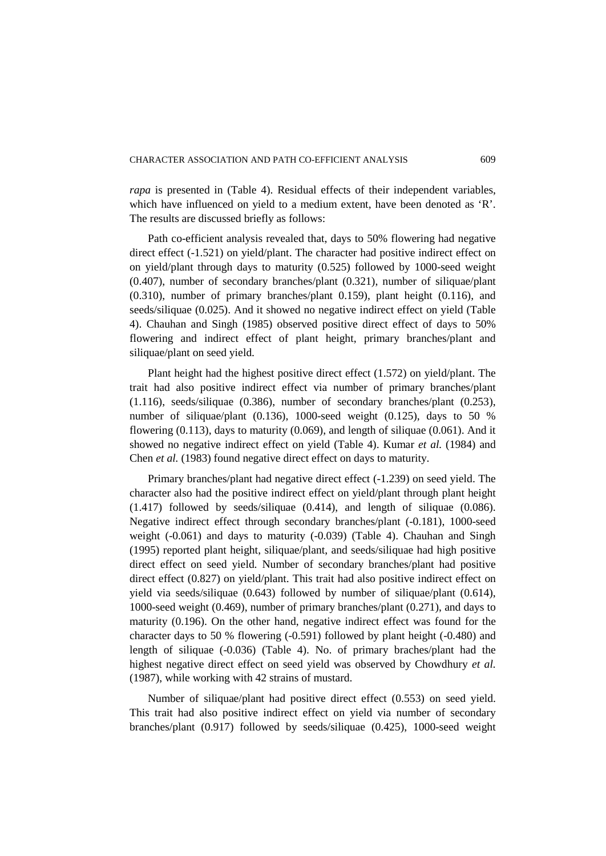*rapa* is presented in (Table 4). Residual effects of their independent variables, which have influenced on yield to a medium extent, have been denoted as 'R'. The results are discussed briefly as follows:

Path co-efficient analysis revealed that, days to 50% flowering had negative direct effect (-1.521) on yield/plant. The character had positive indirect effect on on yield/plant through days to maturity (0.525) followed by 1000-seed weight (0.407), number of secondary branches/plant (0.321), number of siliquae/plant (0.310), number of primary branches/plant 0.159), plant height (0.116), and seeds/siliquae (0.025). And it showed no negative indirect effect on yield (Table 4). Chauhan and Singh (1985) observed positive direct effect of days to 50% flowering and indirect effect of plant height, primary branches/plant and siliquae/plant on seed yield.

Plant height had the highest positive direct effect (1.572) on yield/plant. The trait had also positive indirect effect via number of primary branches/plant (1.116), seeds/siliquae (0.386), number of secondary branches/plant (0.253), number of siliquae/plant (0.136), 1000-seed weight (0.125), days to 50 % flowering  $(0.113)$ , days to maturity  $(0.069)$ , and length of siliquae  $(0.061)$ . And it showed no negative indirect effect on yield (Table 4). Kumar *et al.* (1984) and Chen *et al.* (1983) found negative direct effect on days to maturity.

Primary branches/plant had negative direct effect (-1.239) on seed yield. The character also had the positive indirect effect on yield/plant through plant height (1.417) followed by seeds/siliquae (0.414), and length of siliquae (0.086). Negative indirect effect through secondary branches/plant (-0.181), 1000-seed weight (-0.061) and days to maturity (-0.039) (Table 4). Chauhan and Singh (1995) reported plant height, siliquae/plant, and seeds/siliquae had high positive direct effect on seed yield. Number of secondary branches/plant had positive direct effect (0.827) on yield/plant. This trait had also positive indirect effect on yield via seeds/siliquae (0.643) followed by number of siliquae/plant (0.614), 1000-seed weight (0.469), number of primary branches/plant (0.271), and days to maturity (0.196). On the other hand, negative indirect effect was found for the character days to 50 % flowering (-0.591) followed by plant height (-0.480) and length of siliquae (-0.036) (Table 4). No. of primary braches/plant had the highest negative direct effect on seed yield was observed by Chowdhury *et al.* (1987), while working with 42 strains of mustard.

Number of siliquae/plant had positive direct effect (0.553) on seed yield. This trait had also positive indirect effect on yield via number of secondary branches/plant (0.917) followed by seeds/siliquae (0.425), 1000-seed weight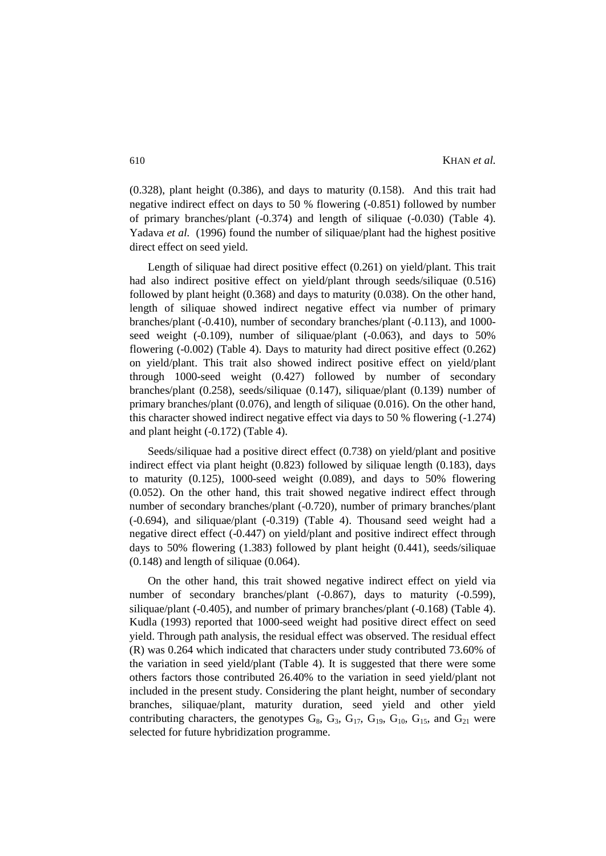(0.328), plant height (0.386), and days to maturity (0.158). And this trait had negative indirect effect on days to 50 % flowering (-0.851) followed by number of primary branches/plant (-0.374) and length of siliquae (-0.030) (Table 4). Yadava *et al.* (1996) found the number of siliquae/plant had the highest positive direct effect on seed yield.

Length of siliquae had direct positive effect (0.261) on yield/plant. This trait had also indirect positive effect on yield/plant through seeds/siliquae (0.516) followed by plant height (0.368) and days to maturity (0.038). On the other hand, length of siliquae showed indirect negative effect via number of primary branches/plant (-0.410), number of secondary branches/plant (-0.113), and 1000 seed weight (-0.109), number of siliquae/plant (-0.063), and days to 50% flowering (-0.002) (Table 4). Days to maturity had direct positive effect (0.262) on yield/plant. This trait also showed indirect positive effect on yield/plant through 1000-seed weight (0.427) followed by number of secondary branches/plant (0.258), seeds/siliquae (0.147), siliquae/plant (0.139) number of primary branches/plant (0.076), and length of siliquae (0.016). On the other hand, this character showed indirect negative effect via days to 50 % flowering (-1.274) and plant height (-0.172) (Table 4).

Seeds/siliquae had a positive direct effect (0.738) on yield/plant and positive indirect effect via plant height (0.823) followed by siliquae length (0.183), days to maturity (0.125), 1000-seed weight (0.089), and days to 50% flowering (0.052). On the other hand, this trait showed negative indirect effect through number of secondary branches/plant (-0.720), number of primary branches/plant (-0.694), and siliquae/plant (-0.319) (Table 4). Thousand seed weight had a negative direct effect (-0.447) on yield/plant and positive indirect effect through days to 50% flowering (1.383) followed by plant height (0.441), seeds/siliquae (0.148) and length of siliquae (0.064).

On the other hand, this trait showed negative indirect effect on yield via number of secondary branches/plant (-0.867), days to maturity (-0.599), siliquae/plant (-0.405), and number of primary branches/plant (-0.168) (Table 4). Kudla (1993) reported that 1000-seed weight had positive direct effect on seed yield. Through path analysis, the residual effect was observed. The residual effect (R) was 0.264 which indicated that characters under study contributed 73.60% of the variation in seed yield/plant (Table 4). It is suggested that there were some others factors those contributed 26.40% to the variation in seed yield/plant not included in the present study. Considering the plant height, number of secondary branches, siliquae/plant, maturity duration, seed yield and other yield contributing characters, the genotypes  $G_8$ ,  $G_3$ ,  $G_{17}$ ,  $G_{19}$ ,  $G_{10}$ ,  $G_{15}$ , and  $G_{21}$  were selected for future hybridization programme.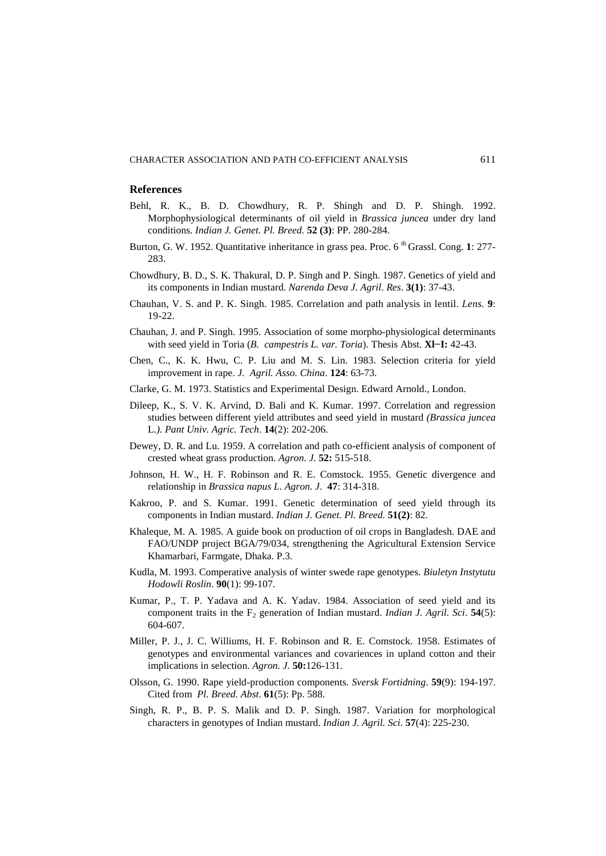#### **References**

- Behl, R. K., B. D. Chowdhury, R. P. Shingh and D. P. Shingh. 1992. Morphophysiological determinants of oil yield in *Brassica juncea* under dry land conditions. *Indian J. Genet. Pl. Breed.* **52 (3)**: PP. 280-284.
- Burton, G. W. 1952. Quantitative inheritance in grass pea. Proc. 6<sup>th</sup> Grassl. Cong. 1: 277-283.
- Chowdhury, B. D., S. K. Thakural, D. P. Singh and P. Singh. 1987. Genetics of yield and its components in Indian mustard. *Narenda Deva J. Agril*. *Res*. **3(1)**: 37-43.
- Chauhan, V. S. and P. K. Singh. 1985. Correlation and path analysis in lentil. *Lens.* **9**: 19-22.
- Chauhan, J. and P. Singh. 1995. Association of some morpho-physiological determinants with seed yield in Toria (*B. campestris L. var. Toria*). Thesis Abst. **Xl−I:** 42-43.
- Chen, C., K. K. Hwu, C. P. Liu and M. S. Lin. 1983. Selection criteria for yield improvement in rape. *J. Agril. Asso. China*. **124**: 63-73.
- Clarke, G. M. 1973. Statistics and Experimental Design. Edward Arnold., London.
- Dileep, K., S. V. K. Arvind, D. Bali and K. Kumar. 1997. Correlation and regression studies between different yield attributes and seed yield in mustard *(Brassica juncea*  L*.). Pant Univ. Agric. Tech*. **14**(2): 202-206.
- Dewey, D. R. and Lu. 1959. A correlation and path co-efficient analysis of component of crested wheat grass production. *Agron. J.* **52:** 515-518.
- Johnson, H. W., H. F. Robinson and R. E. Comstock. 1955. Genetic divergence and relationship in *Brassica napus L*. *Agron. J*. **47**: 314-318.
- Kakroo, P. and S. Kumar. 1991. Genetic determination of seed yield through its components in Indian mustard. *Indian J. Genet. Pl. Breed.* **51(2)**: 82.
- Khaleque, M. A. 1985. A guide book on production of oil crops in Bangladesh. DAE and FAO/UNDP project BGA/79/034, strengthening the Agricultural Extension Service Khamarbari, Farmgate, Dhaka. P.3.
- Kudla, M. 1993. Comperative analysis of winter swede rape genotypes. *Biuletyn Instytutu Hodowli Roslin*. **90**(1): 99-107.
- Kumar, P., T. P. Yadava and A. K. Yadav. 1984. Association of seed yield and its component traits in the F<sub>2</sub> generation of Indian mustard. *Indian J. Agril. Sci.* **54**(5): 604-607.
- Miller, P. J., J. C. Williums, H. F. Robinson and R. E. Comstock. 1958. Estimates of genotypes and environmental variances and covariences in upland cotton and their implications in selection. *Agron. J.* **50:**126-131.
- Olsson, G. 1990. Rape yield-production components. *Sversk Fortidning*. **59**(9): 194-197. Cited from *Pl. Breed. Abst*. **61**(5): Pp. 588.
- Singh, R. P., B. P. S. Malik and D. P. Singh. 1987. Variation for morphological characters in genotypes of Indian mustard. *Indian J. Agril. Sci*. **57**(4): 225-230.